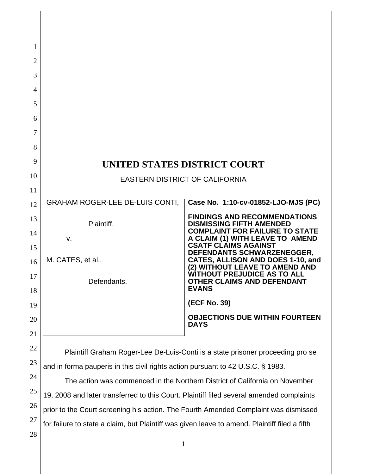| 1              |                                                                                               |                                                                          |  |
|----------------|-----------------------------------------------------------------------------------------------|--------------------------------------------------------------------------|--|
| $\overline{2}$ |                                                                                               |                                                                          |  |
| 3              |                                                                                               |                                                                          |  |
| 4              |                                                                                               |                                                                          |  |
| 5              |                                                                                               |                                                                          |  |
| 6              |                                                                                               |                                                                          |  |
| 7              |                                                                                               |                                                                          |  |
| 8              |                                                                                               |                                                                          |  |
| 9              | UNITED STATES DISTRICT COURT                                                                  |                                                                          |  |
| 10             | <b>EASTERN DISTRICT OF CALIFORNIA</b>                                                         |                                                                          |  |
| 11             | <b>GRAHAM ROGER-LEE DE-LUIS CONTI,</b>                                                        | Case No. 1:10-cv-01852-LJO-MJS (PC)                                      |  |
| 12             |                                                                                               | <b>FINDINGS AND RECOMMENDATIONS</b>                                      |  |
| 13<br>14       | Plaintiff,                                                                                    | <b>DISMISSING FIFTH AMENDED</b><br><b>COMPLAINT FOR FAILURE TO STATE</b> |  |
| 15             | v.                                                                                            | A CLAIM (1) WITH LEAVE TO AMEND<br><b>CSATF CLAIMS AGAINST</b>           |  |
| 16             | M. CATES, et al.,                                                                             | DEFENDANTS SCHWARZENEGGER,<br>CATES, ALLISON AND DOES 1-10, and          |  |
| 17             |                                                                                               | (2) WITHOUT LEAVE TO AMEND AND<br><b>WITHOUT PREJUDICE AS TO ALL</b>     |  |
| 18             | Defendants.                                                                                   | <b>OTHER CLAIMS AND DEFENDANT</b><br><b>EVANS</b>                        |  |
| 19             |                                                                                               | (ECF No. 39)                                                             |  |
| 20             |                                                                                               | <b>OBJECTIONS DUE WITHIN FOURTEEN</b><br><b>DAYS</b>                     |  |
| 21             |                                                                                               |                                                                          |  |
| 22             | Plaintiff Graham Roger-Lee De-Luis-Conti is a state prisoner proceeding pro se                |                                                                          |  |
| 23             | and in forma pauperis in this civil rights action pursuant to 42 U.S.C. § 1983.               |                                                                          |  |
| 24             | The action was commenced in the Northern District of California on November                   |                                                                          |  |
| 25             | 19, 2008 and later transferred to this Court. Plaintiff filed several amended complaints      |                                                                          |  |
| 26             | prior to the Court screening his action. The Fourth Amended Complaint was dismissed           |                                                                          |  |
| 27             | for failure to state a claim, but Plaintiff was given leave to amend. Plaintiff filed a fifth |                                                                          |  |
| 28             | $\mathbf{1}$                                                                                  |                                                                          |  |
|                |                                                                                               |                                                                          |  |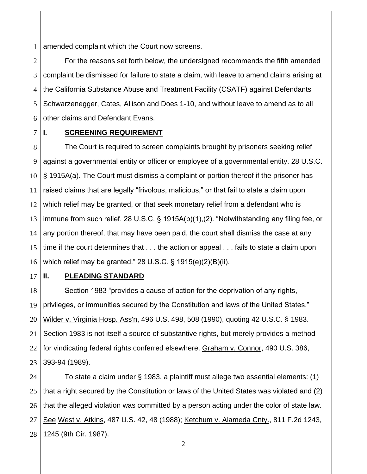1 amended complaint which the Court now screens.

2 3 4 5 6 For the reasons set forth below, the undersigned recommends the fifth amended complaint be dismissed for failure to state a claim, with leave to amend claims arising at the California Substance Abuse and Treatment Facility (CSATF) against Defendants Schwarzenegger, Cates, Allison and Does 1-10, and without leave to amend as to all other claims and Defendant Evans.

7

# **I. SCREENING REQUIREMENT**

8 9 10 11 12 13 14 15 16 The Court is required to screen complaints brought by prisoners seeking relief against a governmental entity or officer or employee of a governmental entity. 28 U.S.C. § 1915A(a). The Court must dismiss a complaint or portion thereof if the prisoner has raised claims that are legally "frivolous, malicious," or that fail to state a claim upon which relief may be granted, or that seek monetary relief from a defendant who is immune from such relief. 28 U.S.C. § 1915A(b)(1),(2). "Notwithstanding any filing fee, or any portion thereof, that may have been paid, the court shall dismiss the case at any time if the court determines that . . . the action or appeal . . . fails to state a claim upon which relief may be granted." 28 U.S.C. § 1915(e)(2)(B)(ii).

17

# **II. PLEADING STANDARD**

18 19 20 21 22 23 Section 1983 "provides a cause of action for the deprivation of any rights, privileges, or immunities secured by the Constitution and laws of the United States." Wilder v. Virginia Hosp. Ass'n, 496 U.S. 498, 508 (1990), quoting 42 U.S.C. § 1983. Section 1983 is not itself a source of substantive rights, but merely provides a method for vindicating federal rights conferred elsewhere. Graham v. Connor, 490 U.S. 386, 393-94 (1989).

24 25 26 27 28 To state a claim under § 1983, a plaintiff must allege two essential elements: (1) that a right secured by the Constitution or laws of the United States was violated and (2) that the alleged violation was committed by a person acting under the color of state law. See West v. Atkins, 487 U.S. 42, 48 (1988); Ketchum v. Alameda Cnty., 811 F.2d 1243, 1245 (9th Cir. 1987).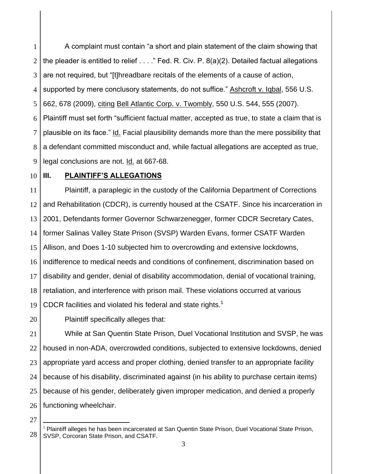1 2 3 4 5 6 7 8 9 A complaint must contain "a short and plain statement of the claim showing that the pleader is entitled to relief . . . ." Fed. R. Civ. P. 8(a)(2). Detailed factual allegations are not required, but "[t]hreadbare recitals of the elements of a cause of action, supported by mere conclusory statements, do not suffice." Ashcroft v. Iqbal, 556 U.S. 662, 678 (2009), citing Bell Atlantic Corp. v. Twombly, 550 U.S. 544, 555 (2007). Plaintiff must set forth "sufficient factual matter, accepted as true, to state a claim that is plausible on its face." Id. Facial plausibility demands more than the mere possibility that a defendant committed misconduct and, while factual allegations are accepted as true, legal conclusions are not. Id. at 667-68.

10

## **III. PLAINTIFF'S ALLEGATIONS**

11 12 13 14 15 16 17 18 19 Plaintiff, a paraplegic in the custody of the California Department of Corrections and Rehabilitation (CDCR), is currently housed at the CSATF. Since his incarceration in 2001, Defendants former Governor Schwarzenegger, former CDCR Secretary Cates, former Salinas Valley State Prison (SVSP) Warden Evans, former CSATF Warden Allison, and Does 1-10 subjected him to overcrowding and extensive lockdowns, indifference to medical needs and conditions of confinement, discrimination based on disability and gender, denial of disability accommodation, denial of vocational training, retaliation, and interference with prison mail. These violations occurred at various CDCR facilities and violated his federal and state rights.<sup>1</sup>

20 Plaintiff specifically alleges that:

21 22 23 24 25 26 While at San Quentin State Prison, Duel Vocational Institution and SVSP, he was housed in non-ADA, overcrowded conditions, subjected to extensive lockdowns, denied appropriate yard access and proper clothing, denied transfer to an appropriate facility because of his disability, discriminated against (in his ability to purchase certain items) because of his gender, deliberately given improper medication, and denied a properly functioning wheelchair.

27

 $\overline{\phantom{a}}$ 

<sup>28</sup> <sup>1</sup> Plaintiff alleges he has been incarcerated at San Quentin State Prison, Duel Vocational State Prison, SVSP, Corcoran State Prison, and CSATF.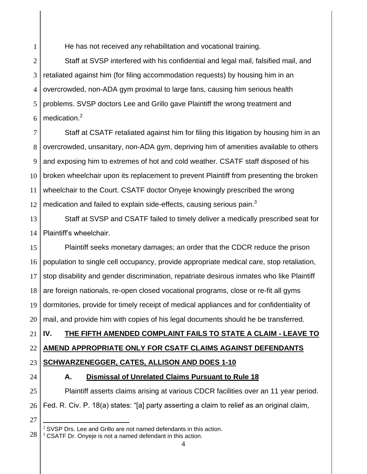He has not received any rehabilitation and vocational training.

2 3 4 5 6 Staff at SVSP interfered with his confidential and legal mail, falsified mail, and retaliated against him (for filing accommodation requests) by housing him in an overcrowded, non-ADA gym proximal to large fans, causing him serious health problems. SVSP doctors Lee and Grillo gave Plaintiff the wrong treatment and medication.<sup>2</sup>

7 8 9 10 11 12 Staff at CSATF retaliated against him for filing this litigation by housing him in an overcrowded, unsanitary, non-ADA gym, depriving him of amenities available to others and exposing him to extremes of hot and cold weather. CSATF staff disposed of his broken wheelchair upon its replacement to prevent Plaintiff from presenting the broken wheelchair to the Court. CSATF doctor Onyeje knowingly prescribed the wrong medication and failed to explain side-effects, causing serious pain. $3$ 

13 14 Staff at SVSP and CSATF failed to timely deliver a medically prescribed seat for Plaintiff"s wheelchair.

15 16 17 18 19 20 Plaintiff seeks monetary damages; an order that the CDCR reduce the prison population to single cell occupancy, provide appropriate medical care, stop retaliation, stop disability and gender discrimination, repatriate desirous inmates who like Plaintiff are foreign nationals, re-open closed vocational programs, close or re-fit all gyms dormitories, provide for timely receipt of medical appliances and for confidentiality of mail, and provide him with copies of his legal documents should he be transferred.

# **IV. THE FIFTH AMENDED COMPLAINT FAILS TO STATE A CLAIM - LEAVE TO**

#### 22 **AMEND APPROPRIATE ONLY FOR CSATF CLAIMS AGAINST DEFENDANTS**

- 23 **SCHWARZENEGGER, CATES, ALLISON AND DOES 1-10**
- 24

21

1

# **A. Dismissal of Unrelated Claims Pursuant to Rule 18**

25 26 Plaintiff asserts claims arising at various CDCR facilities over an 11 year period. Fed. R. Civ. P. 18(a) states: "[a] party asserting a claim to relief as an original claim,

27

l  $2$  SVSP Drs. Lee and Grillo are not named defendants in this action.

 $3$  CSATF Dr. Onyeje is not a named defendant in this action.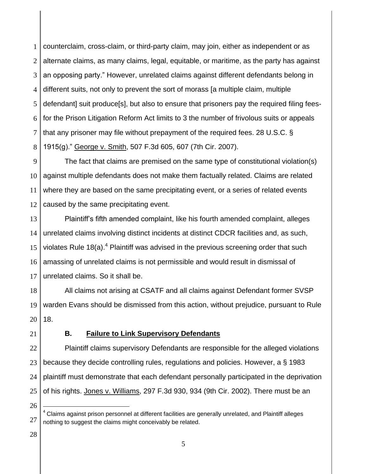1 2 3 4 5 6 7 8 counterclaim, cross-claim, or third-party claim, may join, either as independent or as alternate claims, as many claims, legal, equitable, or maritime, as the party has against an opposing party." However, unrelated claims against different defendants belong in different suits, not only to prevent the sort of morass [a multiple claim, multiple defendant] suit produce[s], but also to ensure that prisoners pay the required filing feesfor the Prison Litigation Reform Act limits to 3 the number of frivolous suits or appeals that any prisoner may file without prepayment of the required fees. 28 U.S.C. § 1915(g)." George v. Smith, 507 F.3d 605, 607 (7th Cir. 2007).

9 10 11 12 The fact that claims are premised on the same type of constitutional violation(s) against multiple defendants does not make them factually related. Claims are related where they are based on the same precipitating event, or a series of related events caused by the same precipitating event.

13 14 15 16 17 Plaintiff"s fifth amended complaint, like his fourth amended complaint, alleges unrelated claims involving distinct incidents at distinct CDCR facilities and, as such, violates Rule 18(a).<sup>4</sup> Plaintiff was advised in the previous screening order that such amassing of unrelated claims is not permissible and would result in dismissal of unrelated claims. So it shall be.

18 19 20 All claims not arising at CSATF and all claims against Defendant former SVSP warden Evans should be dismissed from this action, without prejudice, pursuant to Rule 18.

21

### **B. Failure to Link Supervisory Defendants**

22 23 24 25 Plaintiff claims supervisory Defendants are responsible for the alleged violations because they decide controlling rules, regulations and policies. However, a § 1983 plaintiff must demonstrate that each defendant personally participated in the deprivation of his rights. Jones v. Williams, 297 F.3d 930, 934 (9th Cir. 2002). There must be an

28

26

 $\overline{\phantom{a}}$ 

<sup>27</sup>  $4$  Claims against prison personnel at different facilities are generally unrelated, and Plaintiff alleges nothing to suggest the claims might conceivably be related.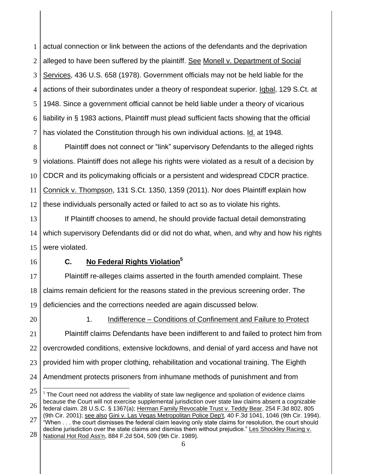1 2 3 4 5 6 7 actual connection or link between the actions of the defendants and the deprivation alleged to have been suffered by the plaintiff. See Monell v. Department of Social Services, 436 U.S. 658 (1978). Government officials may not be held liable for the actions of their subordinates under a theory of respondeat superior. Iqbal, 129 S.Ct. at 1948. Since a government official cannot be held liable under a theory of vicarious liability in § 1983 actions, Plaintiff must plead sufficient facts showing that the official has violated the Constitution through his own individual actions. Id. at 1948.

8 9 10 11 12 Plaintiff does not connect or "link" supervisory Defendants to the alleged rights violations. Plaintiff does not allege his rights were violated as a result of a decision by CDCR and its policymaking officials or a persistent and widespread CDCR practice. Connick v. Thompson, 131 S.Ct. 1350, 1359 (2011). Nor does Plaintiff explain how these individuals personally acted or failed to act so as to violate his rights.

13 14 15 If Plaintiff chooses to amend, he should provide factual detail demonstrating which supervisory Defendants did or did not do what, when, and why and how his rights were violated.

16

### **C. No Federal Rights Violation<sup>5</sup>**

17 18 19 Plaintiff re-alleges claims asserted in the fourth amended complaint. These claims remain deficient for the reasons stated in the previous screening order. The deficiencies and the corrections needed are again discussed below.

20

21

# 1. Indifference – Conditions of Confinement and Failure to Protect Plaintiff claims Defendants have been indifferent to and failed to protect him from

22 23 24 overcrowded conditions, extensive lockdowns, and denial of yard access and have not provided him with proper clothing, rehabilitation and vocational training. The Eighth Amendment protects prisoners from inhumane methods of punishment and from

<sup>25</sup> 26  $\overline{a}$  $5$  The Court need not address the viability of state law negligence and spoliation of evidence claims because the Court will not exercise supplemental jurisdiction over state law claims absent a cognizable federal claim. 28 U.S.C. § 1367(a); Herman Family Revocable Trust v. Teddy Bear, 254 F.3d 802, 805 (9th Cir. 2001); see also Gini v. Las Vegas Metropolitan Police Dep't, 40 F.3d 1041, 1046 (9th Cir. 1994).

<sup>27</sup> 28 "When . . . the court dismisses the federal claim leaving only state claims for resolution, the court should decline jurisdiction over the state claims and dismiss them without prejudice." Les Shockley Racing v. National Hot Rod Ass'n, 884 F.2d 504, 509 (9th Cir. 1989).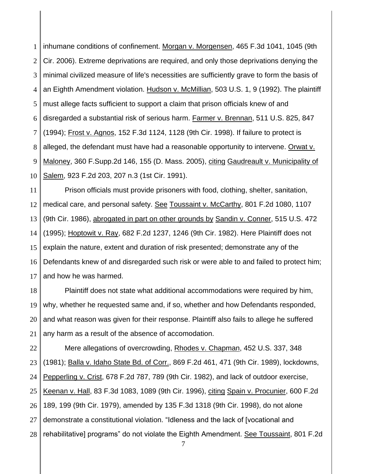1 2 3 4 5 6 7 8 9 10 inhumane conditions of confinement. Morgan v. Morgensen, 465 F.3d 1041, 1045 (9th Cir. 2006). Extreme deprivations are required, and only those deprivations denying the minimal civilized measure of life's necessities are sufficiently grave to form the basis of an Eighth Amendment violation. Hudson v. McMillian, 503 U.S. 1, 9 (1992). The plaintiff must allege facts sufficient to support a claim that prison officials knew of and disregarded a substantial risk of serious harm. Farmer v. Brennan, 511 U.S. 825, 847 (1994); Frost v. Agnos, 152 F.3d 1124, 1128 (9th Cir. 1998). If failure to protect is alleged, the defendant must have had a reasonable opportunity to intervene. Orwat v. Maloney, 360 F.Supp.2d 146, 155 (D. Mass. 2005), citing Gaudreault v. Municipality of Salem, 923 F.2d 203, 207 n.3 (1st Cir. 1991).

11 12 13 14 15 16 17 Prison officials must provide prisoners with food, clothing, shelter, sanitation, medical care, and personal safety. See Toussaint v. McCarthy, 801 F.2d 1080, 1107 (9th Cir. 1986), abrogated in part on other grounds by Sandin v. Conner, 515 U.S. 472 (1995); Hoptowit v. Ray, 682 F.2d 1237, 1246 (9th Cir. 1982). Here Plaintiff does not explain the nature, extent and duration of risk presented; demonstrate any of the Defendants knew of and disregarded such risk or were able to and failed to protect him; and how he was harmed.

18 19 20 21 Plaintiff does not state what additional accommodations were required by him, why, whether he requested same and, if so, whether and how Defendants responded, and what reason was given for their response. Plaintiff also fails to allege he suffered any harm as a result of the absence of accomodation.

22 23 24 25 26 27 28 Mere allegations of overcrowding, Rhodes v. Chapman, 452 U.S. 337, 348 (1981); Balla v. Idaho State Bd. of Corr., 869 F.2d 461, 471 (9th Cir. 1989), lockdowns, Pepperling v. Crist, 678 F.2d 787, 789 (9th Cir. 1982), and lack of outdoor exercise, Keenan v. Hall, 83 F.3d 1083, 1089 (9th Cir. 1996), citing Spain v. Procunier, 600 F.2d 189, 199 (9th Cir. 1979), amended by 135 F.3d 1318 (9th Cir. 1998), do not alone demonstrate a constitutional violation. "Idleness and the lack of [vocational and rehabilitative] programs" do not violate the Eighth Amendment. See Toussaint, 801 F.2d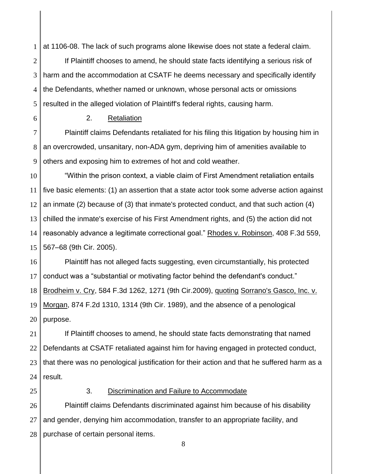1 at 1106-08. The lack of such programs alone likewise does not state a federal claim.

2 3 4 5 If Plaintiff chooses to amend, he should state facts identifying a serious risk of harm and the accommodation at CSATF he deems necessary and specifically identify the Defendants, whether named or unknown, whose personal acts or omissions resulted in the alleged violation of Plaintiff's federal rights, causing harm.

6

# 2. Retaliation

7 8 9 Plaintiff claims Defendants retaliated for his filing this litigation by housing him in an overcrowded, unsanitary, non-ADA gym, depriving him of amenities available to others and exposing him to extremes of hot and cold weather.

10 11 12 13 14 15 "Within the prison context, a viable claim of First Amendment retaliation entails five basic elements: (1) an assertion that a state actor took some adverse action against an inmate (2) because of (3) that inmate's protected conduct, and that such action (4) chilled the inmate's exercise of his First Amendment rights, and (5) the action did not reasonably advance a legitimate correctional goal." Rhodes v. Robinson, 408 F.3d 559, 567–68 (9th Cir. 2005).

16 17 18 19 20 Plaintiff has not alleged facts suggesting, even circumstantially, his protected conduct was a "substantial or motivating factor behind the defendant's conduct." Brodheim v. Cry, 584 F.3d 1262, 1271 (9th Cir.2009), quoting Sorrano's Gasco, Inc. v. Morgan, 874 F.2d 1310, 1314 (9th Cir. 1989), and the absence of a penological purpose.

21 22 23 24 If Plaintiff chooses to amend, he should state facts demonstrating that named Defendants at CSATF retaliated against him for having engaged in protected conduct, that there was no penological justification for their action and that he suffered harm as a result.

25

### 3. Discrimination and Failure to Accommodate

26 27 28 Plaintiff claims Defendants discriminated against him because of his disability and gender, denying him accommodation, transfer to an appropriate facility, and purchase of certain personal items.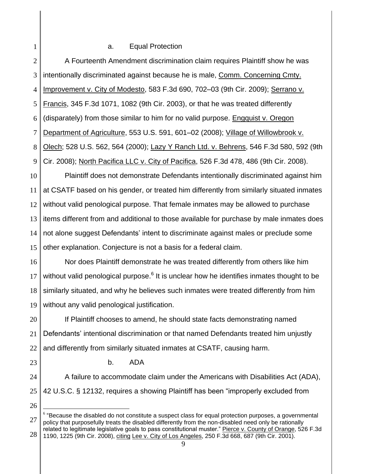### a. Equal Protection

1

2 3 4 5 6 7 8 9 10 11 12 13 14 15 16 17 18 19 20 21 22 23 24 25 26 A Fourteenth Amendment discrimination claim requires Plaintiff show he was intentionally discriminated against because he is male, Comm. Concerning Cmty. Improvement v. City of Modesto, 583 F.3d 690, 702–03 (9th Cir. 2009); Serrano v. Francis, 345 F.3d 1071, 1082 (9th Cir. 2003), or that he was treated differently (disparately) from those similar to him for no valid purpose. [Engquist v. Oregon](http://web2.westlaw.com/find/default.wl?mt=Westlaw&db=708&tc=-1&rp=%2ffind%2fdefault.wl&findtype=Y&ordoc=2031702804&serialnum=2016269722&vr=2.0&fn=_top&sv=Split&tf=-1&pbc=E5A95BCE&rs=WLW13.10)  [Department of Agriculture,](http://web2.westlaw.com/find/default.wl?mt=Westlaw&db=708&tc=-1&rp=%2ffind%2fdefault.wl&findtype=Y&ordoc=2031702804&serialnum=2016269722&vr=2.0&fn=_top&sv=Split&tf=-1&pbc=E5A95BCE&rs=WLW13.10) 553 U.S. 591, 601–02 (2008); [Village of Willowbrook v.](http://web2.westlaw.com/find/default.wl?mt=Westlaw&db=708&tc=-1&rp=%2ffind%2fdefault.wl&findtype=Y&ordoc=2031702804&serialnum=2000060043&vr=2.0&fn=_top&sv=Split&tf=-1&pbc=E5A95BCE&rs=WLW13.10)  Olech; [528 U.S. 562, 564 \(2000\);](http://web2.westlaw.com/find/default.wl?mt=Westlaw&db=708&tc=-1&rp=%2ffind%2fdefault.wl&findtype=Y&ordoc=2031702804&serialnum=2000060043&vr=2.0&fn=_top&sv=Split&tf=-1&pbc=E5A95BCE&rs=WLW13.10) [Lazy Y Ranch Ltd. v. Behrens,](http://web2.westlaw.com/find/default.wl?mt=Westlaw&db=506&tc=-1&rp=%2ffind%2fdefault.wl&findtype=Y&ordoc=2031702804&serialnum=2017147122&vr=2.0&fn=_top&sv=Split&tf=-1&referencepositiontype=S&pbc=E5A95BCE&referenceposition=592&rs=WLW13.10) 546 F.3d 580, 592 (9th Cir. [2008\);](http://web2.westlaw.com/find/default.wl?mt=Westlaw&db=506&tc=-1&rp=%2ffind%2fdefault.wl&findtype=Y&ordoc=2031702804&serialnum=2017147122&vr=2.0&fn=_top&sv=Split&tf=-1&referencepositiontype=S&pbc=E5A95BCE&referenceposition=592&rs=WLW13.10) [North Pacifica LLC v. City of Pacifica,](http://web2.westlaw.com/find/default.wl?mt=Westlaw&db=506&tc=-1&rp=%2ffind%2fdefault.wl&findtype=Y&ordoc=2031702804&serialnum=2016087284&vr=2.0&fn=_top&sv=Split&tf=-1&referencepositiontype=S&pbc=E5A95BCE&referenceposition=486&rs=WLW13.10) 526 F.3d 478, 486 (9th Cir. 2008). Plaintiff does not demonstrate Defendants intentionally discriminated against him at CSATF based on his gender, or treated him differently from similarly situated inmates without valid penological purpose. That female inmates may be allowed to purchase items different from and additional to those available for purchase by male inmates does not alone suggest Defendants' intent to discriminate against males or preclude some other explanation. Conjecture is not a basis for a federal claim. Nor does Plaintiff demonstrate he was treated differently from others like him without valid penological purpose. $^6$  It is unclear how he identifies inmates thought to be similarly situated, and why he believes such inmates were treated differently from him without any valid penological justification. If Plaintiff chooses to amend, he should state facts demonstrating named Defendants" intentional discrimination or that named Defendants treated him unjustly and differently from similarly situated inmates at CSATF, causing harm. b. ADA A failure to accommodate claim under the Americans with Disabilities Act (ADA), 42 U.S.C. § 12132, requires a showing Plaintiff has been "improperly excluded from

<sup>27</sup> 28 6 "Because the disabled do not constitute a suspect class for equal protection purposes, a governmental policy that purposefully treats the disabled differently from the non-disabled need only be rationally related to legitimate legislative goals to pass constitutional muster." Pierce v. County of Orange, 526 F.3d 1190, 1225 (9th Cir. 2008), citing [Lee v. City of Los Angeles, 250 F.3d 668, 687](http://web2.westlaw.com/find/default.wl?mt=Westlaw&db=506&tc=-1&rp=%2ffind%2fdefault.wl&findtype=Y&ordoc=2016099280&serialnum=2001385224&vr=2.0&fn=_top&sv=Split&tf=-1&referencepositiontype=S&pbc=D76F40DB&referenceposition=687&rs=WLW13.10) (9th Cir. 2001).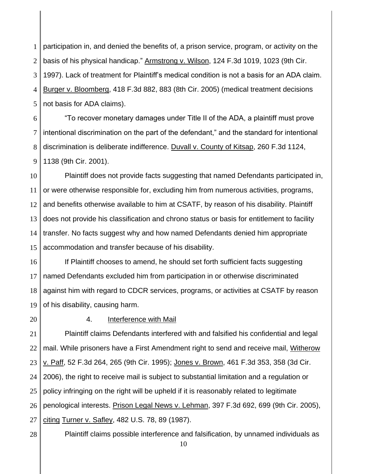1 2 3 4 5 participation in, and denied the benefits of, a prison service, program, or activity on the basis of his physical handicap." Armstrong v. Wilson, 124 F.3d 1019, 1023 (9th Cir. 1997). Lack of treatment for Plaintiff"s medical condition is not a basis for an ADA claim. Burger v. Bloomberg, 418 F.3d 882, 883 (8th Cir. 2005) (medical treatment decisions not basis for ADA claims).

6 7 8 9 "To recover monetary damages under Title II of the ADA, a plaintiff must prove intentional discrimination on the part of the defendant," and the standard for intentional discrimination is deliberate indifference. Duvall v. County of Kitsap, 260 F.3d 1124, 1138 (9th Cir. 2001).

10 11 12 13 14 15 Plaintiff does not provide facts suggesting that named Defendants participated in, or were otherwise responsible for, excluding him from numerous activities, programs, and benefits otherwise available to him at CSATF, by reason of his disability. Plaintiff does not provide his classification and chrono status or basis for entitlement to facility transfer. No facts suggest why and how named Defendants denied him appropriate accommodation and transfer because of his disability.

16 17 18 19 If Plaintiff chooses to amend, he should set forth sufficient facts suggesting named Defendants excluded him from participation in or otherwise discriminated against him with regard to CDCR services, programs, or activities at CSATF by reason of his disability, causing harm.

20

### 4. Interference with Mail

21 22 23 24 25 26 27 Plaintiff claims Defendants interfered with and falsified his confidential and legal mail. While prisoners have a First Amendment right to send and receive mail, Witherow v. Paff, 52 F.3d 264, 265 (9th Cir. 1995); Jones v. Brown, 461 F.3d 353, 358 (3d Cir. 2006), the right to receive mail is subject to substantial limitation and a regulation or policy infringing on the right will be upheld if it is reasonably related to legitimate penological interests. Prison Legal News v. Lehman, 397 F.3d 692, 699 (9th Cir. 2005), citing Turner v. Safley, 482 U.S. 78, 89 (1987).

28

Plaintiff claims possible interference and falsification, by unnamed individuals as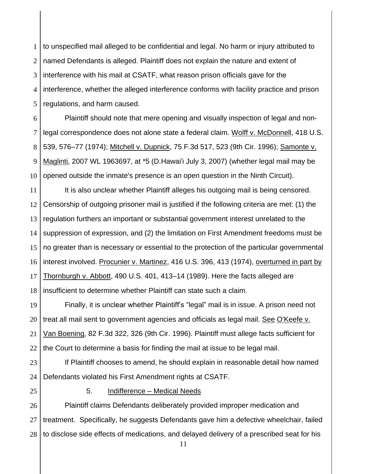1 2 3 4 5 to unspecified mail alleged to be confidential and legal. No harm or injury attributed to named Defendants is alleged. Plaintiff does not explain the nature and extent of interference with his mail at CSATF, what reason prison officials gave for the interference, whether the alleged interference conforms with facility practice and prison regulations, and harm caused.

6 7 8 9 10 Plaintiff should note that mere opening and visually inspection of legal and nonlegal correspondence does not alone state a federal claim. [Wolff v. McDonnell,](http://web2.westlaw.com/find/default.wl?mt=Westlaw&db=708&tc=-1&rp=%2ffind%2fdefault.wl&findtype=Y&ordoc=2030552468&serialnum=1974127248&vr=2.0&fn=_top&sv=Split&tf=-1&pbc=1E55EA3C&rs=WLW13.07) 418 U.S. [539, 576–77 \(1974\);](http://web2.westlaw.com/find/default.wl?mt=Westlaw&db=708&tc=-1&rp=%2ffind%2fdefault.wl&findtype=Y&ordoc=2030552468&serialnum=1974127248&vr=2.0&fn=_top&sv=Split&tf=-1&pbc=1E55EA3C&rs=WLW13.07) Mitchell v. Dupnick, [75 F.3d 517, 523 \(9th Cir.](http://web2.westlaw.com/find/default.wl?mt=Westlaw&db=506&tc=-1&rp=%2ffind%2fdefault.wl&findtype=Y&ordoc=2030552468&serialnum=1996038664&vr=2.0&fn=_top&sv=Split&tf=-1&referencepositiontype=S&pbc=1E55EA3C&referenceposition=523&rs=WLW13.07) 1996); [Samonte v.](http://web2.westlaw.com/find/default.wl?mt=Westlaw&db=0000999&tc=-1&rp=%2ffind%2fdefault.wl&findtype=Y&ordoc=2030552468&serialnum=2012650130&vr=2.0&fn=_top&sv=Split&tf=-1&pbc=1E55EA3C&rs=WLW13.07)  Maglinti, [2007 WL 1963697, at \\*5 \(D.Hawai'i July 3, 2007\)](http://web2.westlaw.com/find/default.wl?mt=Westlaw&db=0000999&tc=-1&rp=%2ffind%2fdefault.wl&findtype=Y&ordoc=2030552468&serialnum=2012650130&vr=2.0&fn=_top&sv=Split&tf=-1&pbc=1E55EA3C&rs=WLW13.07) (whether legal mail may be opened outside the inmate's presence is an open question in the Ninth Circuit).

11 12 13 14 15 16 17 18 It is also unclear whether Plaintiff alleges his outgoing mail is being censored. Censorship of outgoing prisoner mail is justified if the following criteria are met: (1) the regulation furthers an important or substantial government interest unrelated to the suppression of expression, and (2) the limitation on First Amendment freedoms must be no greater than is necessary or essential to the protection of the particular governmental interest involved. Procunier v. Martinez, [416 U.S. 396, 413 \(1974\),](http://web2.westlaw.com/find/default.wl?mt=Westlaw&db=708&tc=-1&rp=%2ffind%2fdefault.wl&findtype=Y&ordoc=2030552468&serialnum=1974127174&vr=2.0&fn=_top&sv=Split&tf=-1&pbc=1E55EA3C&rs=WLW13.07) overturned in part by Thornburgh v. Abbott, [490 U.S. 401, 413–14 \(1989\).](http://web2.westlaw.com/find/default.wl?mt=Westlaw&db=708&tc=-1&rp=%2ffind%2fdefault.wl&findtype=Y&ordoc=2030552468&serialnum=1989072186&vr=2.0&fn=_top&sv=Split&tf=-1&pbc=1E55EA3C&rs=WLW13.07) Here the facts alleged are insufficient to determine whether Plaintiff can state such a claim.

19 20 21 22 Finally, it is unclear whether Plaintiff"s "legal" mail is in issue. A prison need not treat all mail sent to government agencies and officials as legal mail. See [O'Keefe v.](http://web2.westlaw.com/find/default.wl?mt=Westlaw&db=506&tc=-1&rp=%2ffind%2fdefault.wl&findtype=Y&ordoc=2030552468&serialnum=1996104930&vr=2.0&fn=_top&sv=Split&tf=-1&referencepositiontype=S&pbc=1E55EA3C&referenceposition=326&rs=WLW13.07)  Van Boening, [82 F.3d 322, 326 \(9th Cir.](http://web2.westlaw.com/find/default.wl?mt=Westlaw&db=506&tc=-1&rp=%2ffind%2fdefault.wl&findtype=Y&ordoc=2030552468&serialnum=1996104930&vr=2.0&fn=_top&sv=Split&tf=-1&referencepositiontype=S&pbc=1E55EA3C&referenceposition=326&rs=WLW13.07) 1996). Plaintiff must allege facts sufficient for the Court to determine a basis for finding the mail at issue to be legal mail.

23 24 If Plaintiff chooses to amend, he should explain in reasonable detail how named Defendants violated his First Amendment rights at CSATF.

25

### 5. Indifference – Medical Needs

26 27 28 Plaintiff claims Defendants deliberately provided improper medication and treatment. Specifically, he suggests Defendants gave him a defective wheelchair, failed to disclose side effects of medications, and delayed delivery of a prescribed seat for his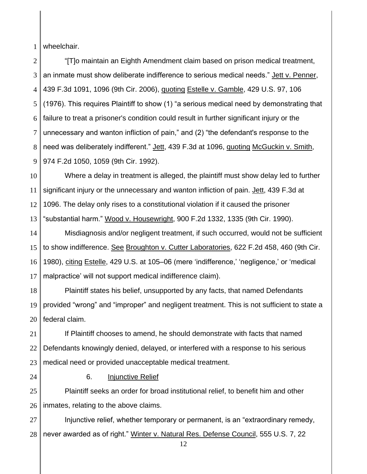1 wheelchair.

2 3 4 5 6 7 8 9 "[T]o maintain an Eighth Amendment claim based on prison medical treatment, an inmate must show deliberate indifference to serious medical needs." Jett v. Penner, 439 F.3d 1091, 1096 (9th Cir. 2006), quoting Estelle v. Gamble, 429 U.S. 97, 106 (1976). This requires Plaintiff to show (1) "a serious medical need by demonstrating that failure to treat a prisoner's condition could result in further significant injury or the unnecessary and wanton infliction of pain," and (2) "the defendant's response to the need was deliberately indifferent." Jett, 439 F.3d at 1096, quoting McGuckin v. Smith, 974 F.2d 1050, 1059 (9th Cir. 1992).

10 11 12 13 Where a delay in treatment is alleged, the plaintiff must show delay led to further significant injury or the unnecessary and wanton infliction of pain. Jett, 439 F.3d at 1096. The delay only rises to a constitutional violation if it caused the prisoner "substantial harm." Wood v. Housewright, 900 F.2d 1332, 1335 (9th Cir. 1990).

14 15 16 17 Misdiagnosis and/or negligent treatment, if such occurred, would not be sufficient to show indifference. See Broughton v. Cutter Laboratories, 622 F.2d 458, 460 (9th Cir. 1980), citing Estelle, 429 U.S. at 105–06 (mere "indifference," "negligence," or "medical malpractice' will not support medical indifference claim).

18 19 20 Plaintiff states his belief, unsupported by any facts, that named Defendants provided "wrong" and "improper" and negligent treatment. This is not sufficient to state a federal claim.

21 22 23 If Plaintiff chooses to amend, he should demonstrate with facts that named Defendants knowingly denied, delayed, or interfered with a response to his serious medical need or provided unacceptable medical treatment.

24

6. Injunctive Relief

25 26 Plaintiff seeks an order for broad institutional relief, to benefit him and other inmates, relating to the above claims.

27 28 Injunctive relief, whether temporary or permanent, is an "extraordinary remedy, never awarded as of right." Winter v. Natural Res. Defense Council, 555 U.S. 7, 22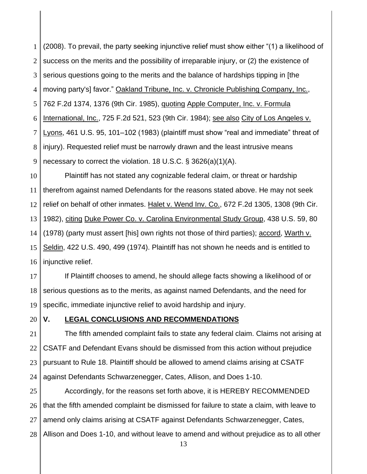1 2 3 4 5 6 7 8 9 (2008). To prevail, the party seeking injunctive relief must show either "(1) a likelihood of success on the merits and the possibility of irreparable injury, or (2) the existence of serious questions going to the merits and the balance of hardships tipping in [the moving party's] favor." Oakland Tribune, Inc. v. Chronicle Publishing Company, Inc., 762 F.2d 1374, 1376 (9th Cir. 1985), quoting Apple Computer, Inc. v. Formula International, Inc., 725 F.2d 521, 523 (9th Cir. 1984); see also City of Los Angeles v. Lyons, 461 U.S. 95, 101–102 (1983) (plaintiff must show "real and immediate" threat of injury). Requested relief must be narrowly drawn and the least intrusive means necessary to correct the violation. 18 U.S.C. § 3626(a)(1)(A).

10 11 12 13 14 15 16 Plaintiff has not stated any cognizable federal claim, or threat or hardship therefrom against named Defendants for the reasons stated above. He may not seek relief on behalf of other inmates. Halet v. Wend Inv. Co., [672 F.2d 1305, 1308 \(9th Cir.](http://web2.westlaw.com/find/default.wl?mt=Westlaw&db=350&tc=-1&rp=%2ffind%2fdefault.wl&findtype=Y&ordoc=2029525636&serialnum=1982114311&vr=2.0&fn=_top&sv=Split&tf=-1&referencepositiontype=S&pbc=F8043F62&referenceposition=1308&rs=WLW13.10) [1982\),](http://web2.westlaw.com/find/default.wl?mt=Westlaw&db=350&tc=-1&rp=%2ffind%2fdefault.wl&findtype=Y&ordoc=2029525636&serialnum=1982114311&vr=2.0&fn=_top&sv=Split&tf=-1&referencepositiontype=S&pbc=F8043F62&referenceposition=1308&rs=WLW13.10) citing [Duke Power Co. v. Carolina Environmental Study Group,](http://web2.westlaw.com/find/default.wl?mt=Westlaw&db=708&tc=-1&rp=%2ffind%2fdefault.wl&findtype=Y&ordoc=2029525636&serialnum=1978139502&vr=2.0&fn=_top&sv=Split&tf=-1&pbc=F8043F62&rs=WLW13.10) 438 U.S. 59, 80 [\(1978\)](http://web2.westlaw.com/find/default.wl?mt=Westlaw&db=708&tc=-1&rp=%2ffind%2fdefault.wl&findtype=Y&ordoc=2029525636&serialnum=1978139502&vr=2.0&fn=_top&sv=Split&tf=-1&pbc=F8043F62&rs=WLW13.10) (party must assert [his] own rights not those of third parties); accord, [Warth v.](http://web2.westlaw.com/find/default.wl?mt=Westlaw&db=708&tc=-1&rp=%2ffind%2fdefault.wl&findtype=Y&ordoc=2029525636&serialnum=1975129820&vr=2.0&fn=_top&sv=Split&tf=-1&pbc=F8043F62&rs=WLW13.10)  Seldin, [422 U.S. 490, 499](http://web2.westlaw.com/find/default.wl?mt=Westlaw&db=708&tc=-1&rp=%2ffind%2fdefault.wl&findtype=Y&ordoc=2029525636&serialnum=1975129820&vr=2.0&fn=_top&sv=Split&tf=-1&pbc=F8043F62&rs=WLW13.10) (1974). Plaintiff has not shown he needs and is entitled to injunctive relief.

17 18 19 If Plaintiff chooses to amend, he should allege facts showing a likelihood of or serious questions as to the merits, as against named Defendants, and the need for specific, immediate injunctive relief to avoid hardship and injury.

20

### **V. LEGAL CONCLUSIONS AND RECOMMENDATIONS**

21 22 23 24 The fifth amended complaint fails to state any federal claim. Claims not arising at CSATF and Defendant Evans should be dismissed from this action without prejudice pursuant to Rule 18. Plaintiff should be allowed to amend claims arising at CSATF against Defendants Schwarzenegger, Cates, Allison, and Does 1-10.

25 26 27 28 Accordingly, for the reasons set forth above, it is HEREBY RECOMMENDED that the fifth amended complaint be dismissed for failure to state a claim, with leave to amend only claims arising at CSATF against Defendants Schwarzenegger, Cates, Allison and Does 1-10, and without leave to amend and without prejudice as to all other